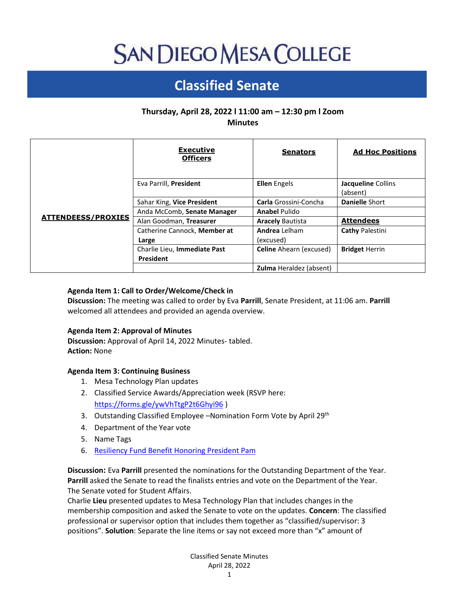# **SAN DIEGO MESA COLLEGE**

## **Classified Senate**

### **Thursday, April 28, 2022 l 11:00 am – 12:30 pm l Zoom Minutes**

|                           | <b>Executive</b><br><b>Officers</b>       | <b>Senators</b>                   | <b>Ad Hoc Positions</b>        |
|---------------------------|-------------------------------------------|-----------------------------------|--------------------------------|
| <b>ATTENDEESS/PROXIES</b> | Eva Parrill, President                    | <b>Ellen</b> Engels               | Jacqueline Collins<br>(absent) |
|                           | Sahar King, Vice President                | Carla Grossini-Concha             | <b>Danielle Short</b>          |
|                           | Anda McComb, Senate Manager               | <b>Anabel Pulido</b>              |                                |
|                           | Alan Goodman, Treasurer                   | <b>Aracely Bautista</b>           | <b>Attendees</b>               |
|                           | Catherine Cannock, Member at<br>Large     | <b>Andrea</b> Lelham<br>(excused) | <b>Cathy Palestini</b>         |
|                           | Charlie Lieu, Immediate Past<br>President | <b>Celine</b> Ahearn (excused)    | <b>Bridget Herrin</b>          |
|                           |                                           | <b>Zulma</b> Heraldez (absent)    |                                |

#### **Agenda Item 1: Call to Order/Welcome/Check in**

**Discussion:** The meeting was called to order by Eva **Parrill**, Senate President, at 11:06 am. **Parrill** welcomed all attendees and provided an agenda overview.

#### **Agenda Item 2: Approval of Minutes**

**Discussion:** Approval of April 14, 2022 Minutes- tabled. **Action:** None

#### **Agenda Item 3: Continuing Business**

- 1. Mesa Technology Plan updates
- 2. Classified Service Awards/Appreciation week (RSVP here: <https://forms.gle/ywVhTtgP2t6Ghyi96> )
- 3. Outstanding Classified Employee Nomination Form Vote by April 29<sup>th</sup>
- 4. Department of the Year vote
- 5. Name Tags
- 6. [Resiliency Fund Benefit Honoring President Pam](https://www.eventbrite.com/e/celebration-of-equity-and-excellence-tickets-288942533897)

**Discussion:** Eva **Parrill** presented the nominations for the Outstanding Department of the Year. **Parrill** asked the Senate to read the finalists entries and vote on the Department of the Year. The Senate voted for Student Affairs.

Charlie **Lieu** presented updates to Mesa Technology Plan that includes changes in the membership composition and asked the Senate to vote on the updates. **Concern**: The classified professional or supervisor option that includes them together as "classified/supervisor: 3 positions". **Solution**: Separate the line items or say not exceed more than "x" amount of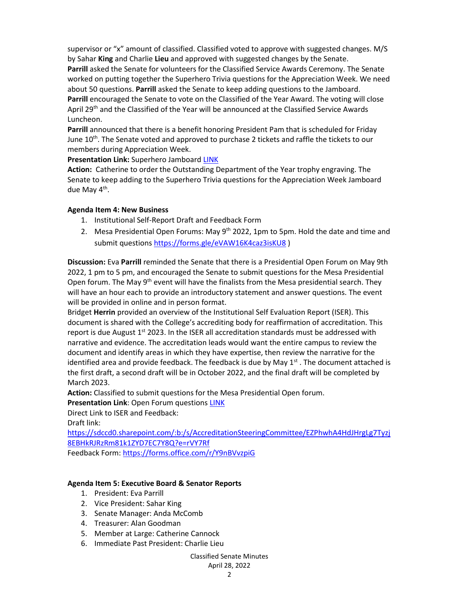supervisor or "x" amount of classified. Classified voted to approve with suggested changes. M/S by Sahar **King** and Charlie **Lieu** and approved with suggested changes by the Senate. **Parrill** asked the Senate for volunteers for the Classified Service Awards Ceremony. The Senate worked on putting together the Superhero Trivia questions for the Appreciation Week. We need about 50 questions. **Parrill** asked the Senate to keep adding questions to the Jamboard. **Parrill** encouraged the Senate to vote on the Classified of the Year Award. The voting will close April 29<sup>th</sup> and the Classified of the Year will be announced at the Classified Service Awards Luncheon.

**Parrill** announced that there is a benefit honoring President Pam that is scheduled for Friday June 10<sup>th</sup>. The Senate voted and approved to purchase 2 tickets and raffle the tickets to our members during Appreciation Week.

#### **Presentation Link:** Superhero Jamboard [LINK](https://jamboard.google.com/d/1gm0dLjuvtxjSH64OZUqOZDrxxbbnDjVbthzw0lZIKUc/viewer)

**Action:** Catherine to order the Outstanding Department of the Year trophy engraving. The Senate to keep adding to the Superhero Trivia questions for the Appreciation Week Jamboard due May 4<sup>th</sup>.

#### **Agenda Item 4: New Business**

- 1. Institutional Self-Report Draft and Feedback Form
- 2. Mesa Presidential Open Forums: May  $9<sup>th</sup>$  2022, 1pm to 5pm. Hold the date and time and submit questions <https://forms.gle/eVAW16K4caz3isKU8>)

**Discussion:** Eva **Parrill** reminded the Senate that there is a Presidential Open Forum on May 9th 2022, 1 pm to 5 pm, and encouraged the Senate to submit questions for the Mesa Presidential Open forum. The May  $9<sup>th</sup>$  event will have the finalists from the Mesa presidential search. They will have an hour each to provide an introductory statement and answer questions. The event will be provided in online and in person format.

Bridget **Herrin** provided an overview of the Institutional Self Evaluation Report (ISER). This document is shared with the College's accrediting body for reaffirmation of accreditation. This report is due August  $1<sup>st</sup>$  2023. In the ISER all accreditation standards must be addressed with narrative and evidence. The accreditation leads would want the entire campus to review the document and identify areas in which they have expertise, then review the narrative for the identified area and provide feedback. The feedback is due by May  $1<sup>st</sup>$ . The document attached is the first draft, a second draft will be in October 2022, and the final draft will be completed by March 2023.

**Action:** Classified to submit questions for the Mesa Presidential Open forum.

**Presentation Link**: Open Forum question[s LINK](https://forms.gle/eVAW16K4caz3isKU8)

Direct Link to ISER and Feedback:

Draft link:

[https://sdccd0.sharepoint.com/:b:/s/AccreditationSteeringCommittee/EZPhwhA4HdJHrgLg7Tyzj](https://sdccd0.sharepoint.com/:b:/s/AccreditationSteeringCommittee/EZPhwhA4HdJHrgLg7Tyzj8EBHkRJRzRm81k1ZYD7EC7Y8Q?e=rVY7Rf) [8EBHkRJRzRm81k1ZYD7EC7Y8Q?e=rVY7Rf](https://sdccd0.sharepoint.com/:b:/s/AccreditationSteeringCommittee/EZPhwhA4HdJHrgLg7Tyzj8EBHkRJRzRm81k1ZYD7EC7Y8Q?e=rVY7Rf)

Feedback Form:<https://forms.office.com/r/Y9nBVvzpiG>

#### **Agenda Item 5: Executive Board & Senator Reports**

- 1. President: Eva Parrill
- 2. Vice President: Sahar King
- 3. Senate Manager: Anda McComb
- 4. Treasurer: Alan Goodman
- 5. Member at Large: Catherine Cannock
- 6. Immediate Past President: Charlie Lieu

#### Classified Senate Minutes April 28, 2022